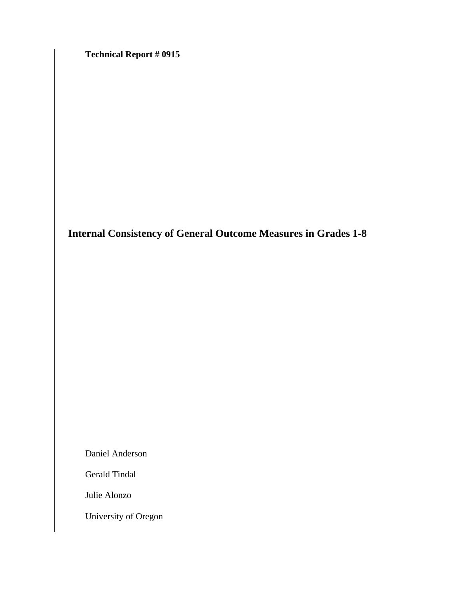**Technical Report # 0915** 

**Internal Consistency of General Outcome Measures in Grades 1-8**

Daniel Anderson

Gerald Tindal

Julie Alonzo

University of Oregon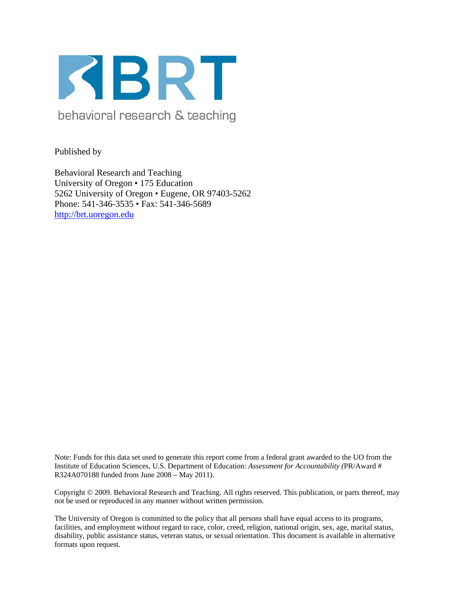

behavioral research & teaching

Published by

Behavioral Research and Teaching University of Oregon • 175 Education 5262 University of Oregon • Eugene, OR 97403-5262 Phone: 541-346-3535 • Fax: 541-346-5689 http://brt.uoregon.edu

Note: Funds for this data set used to generate this report come from a federal grant awarded to the UO from the Institute of Education Sciences, U.S. Department of Education: *Assessment for Accountability (*PR/Award # R324A070188 funded from June 2008 – May 2011).

Copyright © 2009. Behavioral Research and Teaching. All rights reserved. This publication, or parts thereof, may not be used or reproduced in any manner without written permission.

The University of Oregon is committed to the policy that all persons shall have equal access to its programs, facilities, and employment without regard to race, color, creed, religion, national origin, sex, age, marital status, disability, public assistance status, veteran status, or sexual orientation. This document is available in alternative formats upon request.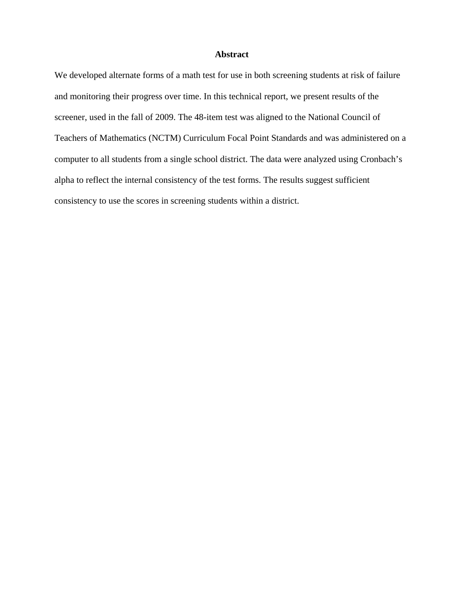#### **Abstract**

We developed alternate forms of a math test for use in both screening students at risk of failure and monitoring their progress over time. In this technical report, we present results of the screener, used in the fall of 2009. The 48-item test was aligned to the National Council of Teachers of Mathematics (NCTM) Curriculum Focal Point Standards and was administered on a computer to all students from a single school district. The data were analyzed using Cronbach's alpha to reflect the internal consistency of the test forms. The results suggest sufficient consistency to use the scores in screening students within a district.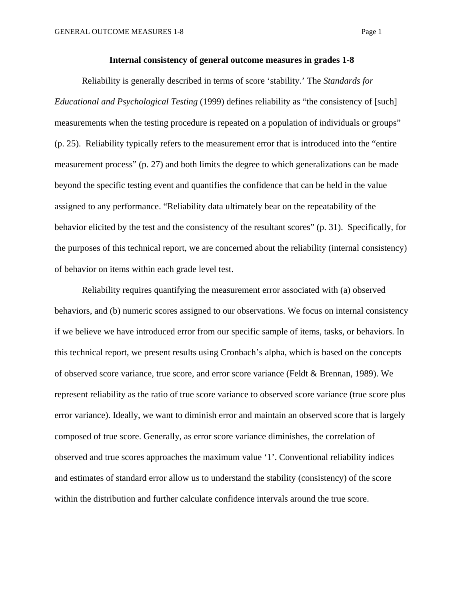#### **Internal consistency of general outcome measures in grades 1-8**

Reliability is generally described in terms of score 'stability.' The *Standards for Educational and Psychological Testing* (1999) defines reliability as "the consistency of [such] measurements when the testing procedure is repeated on a population of individuals or groups" (p. 25). Reliability typically refers to the measurement error that is introduced into the "entire measurement process" (p. 27) and both limits the degree to which generalizations can be made beyond the specific testing event and quantifies the confidence that can be held in the value assigned to any performance. "Reliability data ultimately bear on the repeatability of the behavior elicited by the test and the consistency of the resultant scores" (p. 31). Specifically, for the purposes of this technical report, we are concerned about the reliability (internal consistency) of behavior on items within each grade level test.

Reliability requires quantifying the measurement error associated with (a) observed behaviors, and (b) numeric scores assigned to our observations. We focus on internal consistency if we believe we have introduced error from our specific sample of items, tasks, or behaviors. In this technical report, we present results using Cronbach's alpha, which is based on the concepts of observed score variance, true score, and error score variance (Feldt & Brennan, 1989). We represent reliability as the ratio of true score variance to observed score variance (true score plus error variance). Ideally, we want to diminish error and maintain an observed score that is largely composed of true score. Generally, as error score variance diminishes, the correlation of observed and true scores approaches the maximum value '1'. Conventional reliability indices and estimates of standard error allow us to understand the stability (consistency) of the score within the distribution and further calculate confidence intervals around the true score.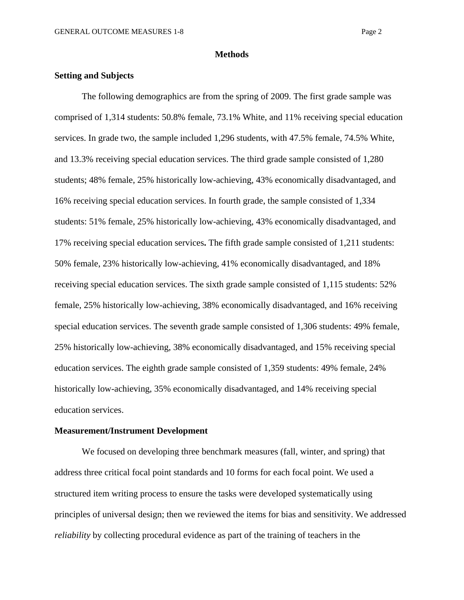#### **Methods**

## **Setting and Subjects**

The following demographics are from the spring of 2009. The first grade sample was comprised of 1,314 students: 50.8% female, 73.1% White, and 11% receiving special education services. In grade two, the sample included 1,296 students, with 47.5% female, 74.5% White, and 13.3% receiving special education services. The third grade sample consisted of 1,280 students; 48% female, 25% historically low-achieving, 43% economically disadvantaged, and 16% receiving special education services. In fourth grade, the sample consisted of 1,334 students: 51% female, 25% historically low-achieving, 43% economically disadvantaged, and 17% receiving special education services**.** The fifth grade sample consisted of 1,211 students: 50% female, 23% historically low-achieving, 41% economically disadvantaged, and 18% receiving special education services. The sixth grade sample consisted of 1,115 students: 52% female, 25% historically low-achieving, 38% economically disadvantaged, and 16% receiving special education services. The seventh grade sample consisted of 1,306 students: 49% female, 25% historically low-achieving, 38% economically disadvantaged, and 15% receiving special education services. The eighth grade sample consisted of 1,359 students: 49% female, 24% historically low-achieving, 35% economically disadvantaged, and 14% receiving special education services.

#### **Measurement/Instrument Development**

We focused on developing three benchmark measures (fall, winter, and spring) that address three critical focal point standards and 10 forms for each focal point. We used a structured item writing process to ensure the tasks were developed systematically using principles of universal design; then we reviewed the items for bias and sensitivity. We addressed *reliability* by collecting procedural evidence as part of the training of teachers in the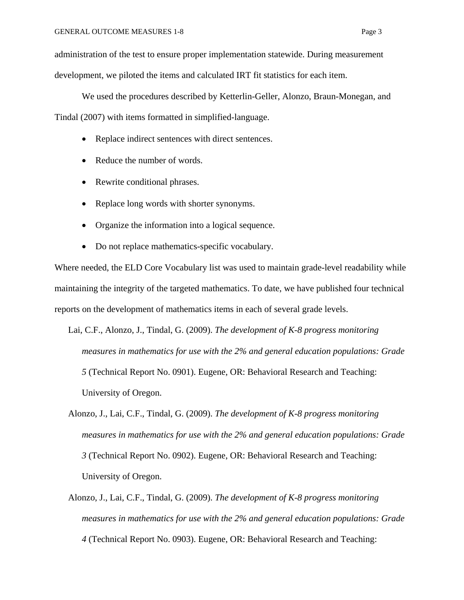administration of the test to ensure proper implementation statewide. During measurement development, we piloted the items and calculated IRT fit statistics for each item.

We used the procedures described by Ketterlin-Geller, Alonzo, Braun-Monegan, and Tindal (2007) with items formatted in simplified-language.

- Replace indirect sentences with direct sentences.
- Reduce the number of words.
- Rewrite conditional phrases.
- Replace long words with shorter synonyms.
- Organize the information into a logical sequence.
- Do not replace mathematics-specific vocabulary.

Where needed, the ELD Core Vocabulary list was used to maintain grade-level readability while maintaining the integrity of the targeted mathematics. To date, we have published four technical reports on the development of mathematics items in each of several grade levels.

Lai, C.F., Alonzo, J., Tindal, G. (2009). *The development of K-8 progress monitoring measures in mathematics for use with the 2% and general education populations: Grade 5* (Technical Report No. 0901). Eugene, OR: Behavioral Research and Teaching: University of Oregon.

- Alonzo, J., Lai, C.F., Tindal, G. (2009). *The development of K-8 progress monitoring measures in mathematics for use with the 2% and general education populations: Grade 3* (Technical Report No. 0902). Eugene, OR: Behavioral Research and Teaching: University of Oregon.
- Alonzo, J., Lai, C.F., Tindal, G. (2009). *The development of K-8 progress monitoring measures in mathematics for use with the 2% and general education populations: Grade 4* (Technical Report No. 0903). Eugene, OR: Behavioral Research and Teaching: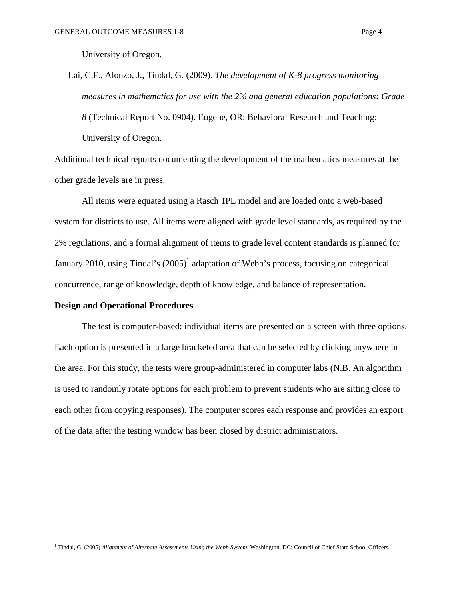University of Oregon.

Lai, C.F., Alonzo, J., Tindal, G. (2009). *The development of K-8 progress monitoring measures in mathematics for use with the 2% and general education populations: Grade 8* (Technical Report No. 0904). Eugene, OR: Behavioral Research and Teaching: University of Oregon.

Additional technical reports documenting the development of the mathematics measures at the other grade levels are in press.

All items were equated using a Rasch 1PL model and are loaded onto a web-based system for districts to use. All items were aligned with grade level standards, as required by the 2% regulations, and a formal alignment of items to grade level content standards is planned for January 2010, using Tindal's  $(2005)^1$  adaptation of Webb's process, focusing on categorical concurrence, range of knowledge, depth of knowledge, and balance of representation.

### **Design and Operational Procedures**

The test is computer-based: individual items are presented on a screen with three options. Each option is presented in a large bracketed area that can be selected by clicking anywhere in the area. For this study, the tests were group-administered in computer labs (N.B. An algorithm is used to randomly rotate options for each problem to prevent students who are sitting close to each other from copying responses). The computer scores each response and provides an export of the data after the testing window has been closed by district administrators.

 1 Tindal, G. (2005) *Alignment of Alternate Assessments Using the Webb System*. Washington, DC: Council of Chief State School Officers.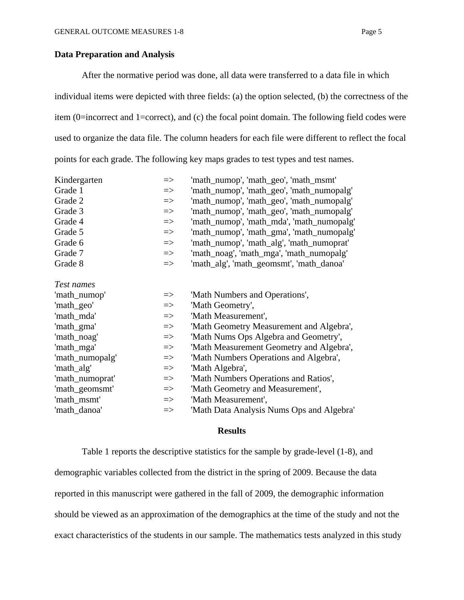#### **Data Preparation and Analysis**

 After the normative period was done, all data were transferred to a data file in which individual items were depicted with three fields: (a) the option selected, (b) the correctness of the item (0=incorrect and 1=correct), and (c) the focal point domain. The following field codes were used to organize the data file. The column headers for each file were different to reflect the focal points for each grade. The following key maps grades to test types and test names.

| Kindergarten    | $\Rightarrow$ | 'math_numop', 'math_geo', 'math_msmt'     |
|-----------------|---------------|-------------------------------------------|
| Grade 1         | $\Rightarrow$ | 'math_numop', 'math_geo', 'math_numopalg' |
| Grade 2         | $\Rightarrow$ | 'math_numop', 'math_geo', 'math_numopalg' |
| Grade 3         | $\Rightarrow$ | 'math_numop', 'math_geo', 'math_numopalg' |
| Grade 4         | $\Rightarrow$ | 'math_numop', 'math_mda', 'math_numopalg' |
| Grade 5         | $\Rightarrow$ | 'math_numop', 'math_gma', 'math_numopalg' |
| Grade 6         | $\Rightarrow$ | 'math_numop', 'math_alg', 'math_numoprat' |
| Grade 7         | $\Rightarrow$ | 'math_noag', 'math_mga', 'math_numopalg'  |
| Grade 8         | $\Rightarrow$ | 'math_alg', 'math_geomsmt', 'math_danoa'  |
| Test names      |               |                                           |
| 'math_numop'    | $\Rightarrow$ | 'Math Numbers and Operations',            |
| 'math_geo'      | $\Rightarrow$ | 'Math Geometry',                          |
| 'math_mda'      | $\Rightarrow$ | 'Math Measurement',                       |
| 'math_gma'      | $\Rightarrow$ | 'Math Geometry Measurement and Algebra',  |
| 'math_noag'     | $\Rightarrow$ | 'Math Nums Ops Algebra and Geometry',     |
| 'math_mga'      | $\Rightarrow$ | 'Math Measurement Geometry and Algebra',  |
| 'math_numopalg' | $\Rightarrow$ | 'Math Numbers Operations and Algebra',    |
| 'math_alg'      | $\Rightarrow$ | 'Math Algebra',                           |
| 'math_numoprat' | $\Rightarrow$ | 'Math Numbers Operations and Ratios',     |
| 'math_geomsmt'  | $\Rightarrow$ | 'Math Geometry and Measurement',          |
| 'math_msmt'     | $\Rightarrow$ | 'Math Measurement',                       |
| 'math_danoa'    | $\Rightarrow$ | 'Math Data Analysis Nums Ops and Algebra' |

#### **Results**

Table 1 reports the descriptive statistics for the sample by grade-level (1-8), and demographic variables collected from the district in the spring of 2009. Because the data reported in this manuscript were gathered in the fall of 2009, the demographic information should be viewed as an approximation of the demographics at the time of the study and not the exact characteristics of the students in our sample. The mathematics tests analyzed in this study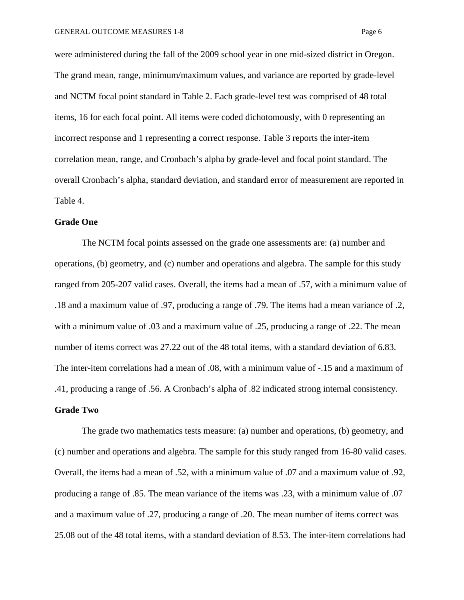were administered during the fall of the 2009 school year in one mid-sized district in Oregon. The grand mean, range, minimum/maximum values, and variance are reported by grade-level and NCTM focal point standard in Table 2. Each grade-level test was comprised of 48 total items, 16 for each focal point. All items were coded dichotomously, with 0 representing an incorrect response and 1 representing a correct response. Table 3 reports the inter-item correlation mean, range, and Cronbach's alpha by grade-level and focal point standard. The overall Cronbach's alpha, standard deviation, and standard error of measurement are reported in Table 4.

#### **Grade One**

The NCTM focal points assessed on the grade one assessments are: (a) number and operations, (b) geometry, and (c) number and operations and algebra. The sample for this study ranged from 205-207 valid cases. Overall, the items had a mean of .57, with a minimum value of .18 and a maximum value of .97, producing a range of .79. The items had a mean variance of .2, with a minimum value of .03 and a maximum value of .25, producing a range of .22. The mean number of items correct was 27.22 out of the 48 total items, with a standard deviation of 6.83. The inter-item correlations had a mean of .08, with a minimum value of -.15 and a maximum of .41, producing a range of .56. A Cronbach's alpha of .82 indicated strong internal consistency.

# **Grade Two**

The grade two mathematics tests measure: (a) number and operations, (b) geometry, and (c) number and operations and algebra. The sample for this study ranged from 16-80 valid cases. Overall, the items had a mean of .52, with a minimum value of .07 and a maximum value of .92, producing a range of .85. The mean variance of the items was .23, with a minimum value of .07 and a maximum value of .27, producing a range of .20. The mean number of items correct was 25.08 out of the 48 total items, with a standard deviation of 8.53. The inter-item correlations had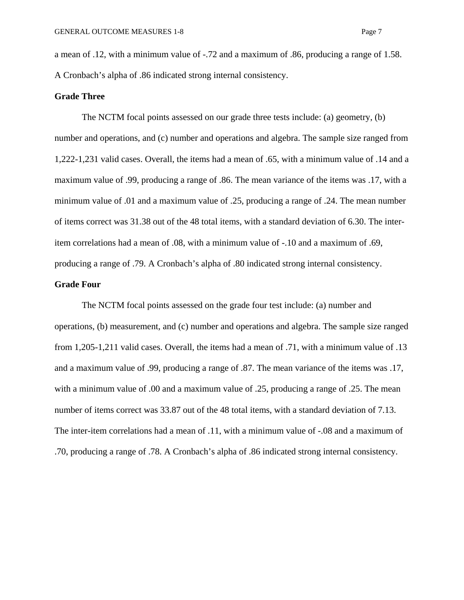a mean of .12, with a minimum value of -.72 and a maximum of .86, producing a range of 1.58. A Cronbach's alpha of .86 indicated strong internal consistency.

#### **Grade Three**

The NCTM focal points assessed on our grade three tests include: (a) geometry, (b) number and operations, and (c) number and operations and algebra. The sample size ranged from 1,222-1,231 valid cases. Overall, the items had a mean of .65, with a minimum value of .14 and a maximum value of .99, producing a range of .86. The mean variance of the items was .17, with a minimum value of .01 and a maximum value of .25, producing a range of .24. The mean number of items correct was 31.38 out of the 48 total items, with a standard deviation of 6.30. The interitem correlations had a mean of .08, with a minimum value of -.10 and a maximum of .69, producing a range of .79. A Cronbach's alpha of .80 indicated strong internal consistency.

## **Grade Four**

The NCTM focal points assessed on the grade four test include: (a) number and operations, (b) measurement, and (c) number and operations and algebra. The sample size ranged from 1,205-1,211 valid cases. Overall, the items had a mean of .71, with a minimum value of .13 and a maximum value of .99, producing a range of .87. The mean variance of the items was .17, with a minimum value of .00 and a maximum value of .25, producing a range of .25. The mean number of items correct was 33.87 out of the 48 total items, with a standard deviation of 7.13. The inter-item correlations had a mean of .11, with a minimum value of -.08 and a maximum of .70, producing a range of .78. A Cronbach's alpha of .86 indicated strong internal consistency.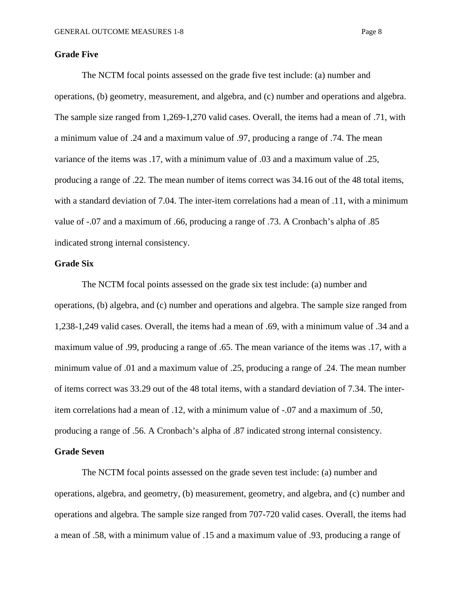## **Grade Five**

The NCTM focal points assessed on the grade five test include: (a) number and operations, (b) geometry, measurement, and algebra, and (c) number and operations and algebra. The sample size ranged from 1,269-1,270 valid cases. Overall, the items had a mean of .71, with a minimum value of .24 and a maximum value of .97, producing a range of .74. The mean variance of the items was .17, with a minimum value of .03 and a maximum value of .25, producing a range of .22. The mean number of items correct was 34.16 out of the 48 total items, with a standard deviation of 7.04. The inter-item correlations had a mean of .11, with a minimum value of -.07 and a maximum of .66, producing a range of .73. A Cronbach's alpha of .85 indicated strong internal consistency.

# **Grade Six**

The NCTM focal points assessed on the grade six test include: (a) number and operations, (b) algebra, and (c) number and operations and algebra. The sample size ranged from 1,238-1,249 valid cases. Overall, the items had a mean of .69, with a minimum value of .34 and a maximum value of .99, producing a range of .65. The mean variance of the items was .17, with a minimum value of .01 and a maximum value of .25, producing a range of .24. The mean number of items correct was 33.29 out of the 48 total items, with a standard deviation of 7.34. The interitem correlations had a mean of .12, with a minimum value of -.07 and a maximum of .50, producing a range of .56. A Cronbach's alpha of .87 indicated strong internal consistency.

# **Grade Seven**

The NCTM focal points assessed on the grade seven test include: (a) number and operations, algebra, and geometry, (b) measurement, geometry, and algebra, and (c) number and operations and algebra. The sample size ranged from 707-720 valid cases. Overall, the items had a mean of .58, with a minimum value of .15 and a maximum value of .93, producing a range of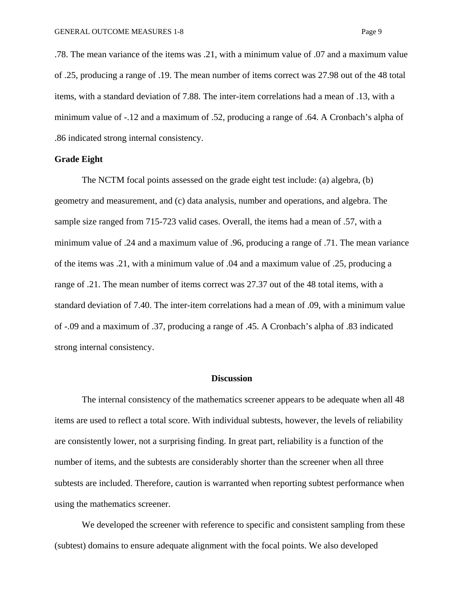.78. The mean variance of the items was .21, with a minimum value of .07 and a maximum value of .25, producing a range of .19. The mean number of items correct was 27.98 out of the 48 total items, with a standard deviation of 7.88. The inter-item correlations had a mean of .13, with a minimum value of -.12 and a maximum of .52, producing a range of .64. A Cronbach's alpha of .86 indicated strong internal consistency.

#### **Grade Eight**

The NCTM focal points assessed on the grade eight test include: (a) algebra, (b) geometry and measurement, and (c) data analysis, number and operations, and algebra. The sample size ranged from 715-723 valid cases. Overall, the items had a mean of .57, with a minimum value of .24 and a maximum value of .96, producing a range of .71. The mean variance of the items was .21, with a minimum value of .04 and a maximum value of .25, producing a range of .21. The mean number of items correct was 27.37 out of the 48 total items, with a standard deviation of 7.40. The inter-item correlations had a mean of .09, with a minimum value of -.09 and a maximum of .37, producing a range of .45. A Cronbach's alpha of .83 indicated strong internal consistency.

# **Discussion**

The internal consistency of the mathematics screener appears to be adequate when all 48 items are used to reflect a total score. With individual subtests, however, the levels of reliability are consistently lower, not a surprising finding. In great part, reliability is a function of the number of items, and the subtests are considerably shorter than the screener when all three subtests are included. Therefore, caution is warranted when reporting subtest performance when using the mathematics screener.

We developed the screener with reference to specific and consistent sampling from these (subtest) domains to ensure adequate alignment with the focal points. We also developed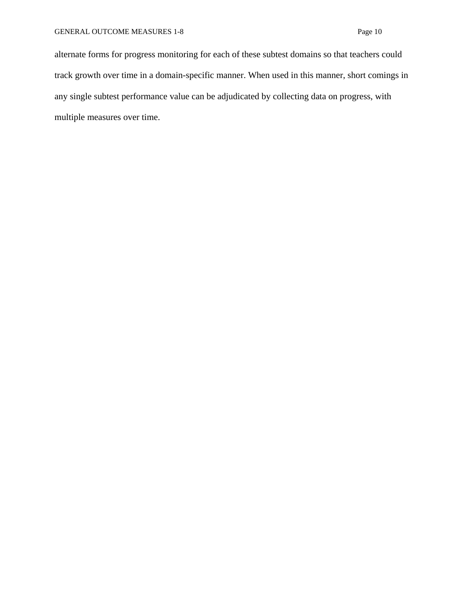alternate forms for progress monitoring for each of these subtest domains so that teachers could track growth over time in a domain-specific manner. When used in this manner, short comings in any single subtest performance value can be adjudicated by collecting data on progress, with multiple measures over time.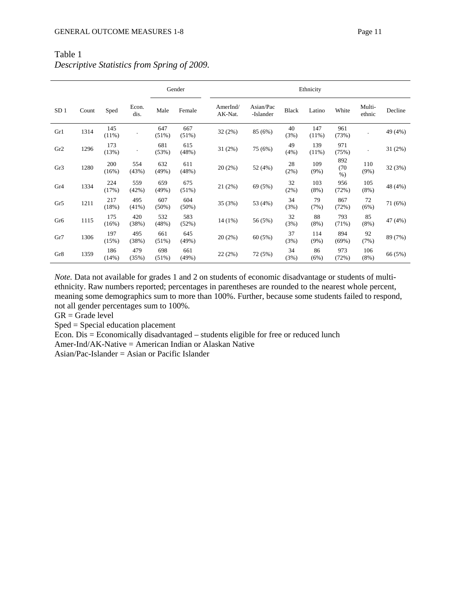|                 |       |              |               |                 | Gender          |                     | Ethnicity              |              |                 |                      |                  |         |  |
|-----------------|-------|--------------|---------------|-----------------|-----------------|---------------------|------------------------|--------------|-----------------|----------------------|------------------|---------|--|
| SD <sub>1</sub> | Count | Sped         | Econ.<br>dis. | Male            | Female          | AmerInd/<br>AK-Nat. | Asian/Pac<br>-Islander | <b>Black</b> | Latino          | White                | Multi-<br>ethnic | Decline |  |
| Gr1             | 1314  | 145<br>(11%) |               | 647<br>(51%)    | 667<br>(51%)    | 32(2%)              | 85 (6%)                | 40<br>(3%)   | 147<br>(11%)    | 961<br>(73%)         |                  | 49 (4%) |  |
| Gr2             | 1296  | 173<br>(13%) |               | 681<br>(53%)    | 615<br>(48%)    | 31(2%)              | 75 (6%)                | 49<br>(4%)   | 139<br>$(11\%)$ | 971<br>(75%)         |                  | 31(2%)  |  |
| Gr3             | 1280  | 200<br>(16%) | 554<br>(43%)  | 632<br>(49%)    | 611<br>(48%)    | 20(2%)              | 52 (4%)                | 28<br>(2%)   | 109<br>(9%)     | 892<br>(70)<br>$%$ ) | 110<br>$(9\%)$   | 32 (3%) |  |
| Gr <sub>4</sub> | 1334  | 224<br>(17%) | 559<br>(42%)  | 659<br>(49%)    | 675<br>(51%)    | 21 (2%)             | 69 (5%)                | 32<br>(2%)   | 103<br>$(8\%)$  | 956<br>(72%)         | 105<br>$(8\%)$   | 48 (4%) |  |
| Gr5             | 1211  | 217<br>(18%) | 495<br>(41%)  | 607<br>$(50\%)$ | 604<br>$(50\%)$ | 35(3%)              | 53 (4%)                | 34<br>(3%)   | 79<br>(7%)      | 867<br>(72%)         | 72<br>(6%)       | 71 (6%) |  |
| Gr <sub>6</sub> | 1115  | 175<br>(16%) | 420<br>(38%)  | 532<br>(48%)    | 583<br>(52%)    | 14 (1%)             | 56 (5%)                | 32<br>(3%)   | 88<br>(8%)      | 793<br>(71%)         | 85<br>(8%)       | 47 (4%) |  |
| Gr7             | 1306  | 197<br>(15%) | 495<br>(38%)  | 661<br>(51%)    | 645<br>(49%)    | $20(2\%)$           | 60 (5%)                | 37<br>(3%)   | 114<br>(9%)     | 894<br>(69%)         | 92<br>(7%)       | 89 (7%) |  |
| Gr8             | 1359  | 186<br>(14%) | 479<br>(35%)  | 698<br>(51%)    | 661<br>(49%)    | 22 (2%)             | 72 (5%)                | 34<br>(3%)   | 86<br>(6%)      | 973<br>(72%)         | 106<br>$(8\%)$   | 66 (5%) |  |

# Table 1 *Descriptive Statistics from Spring of 2009.*

*Note.* Data not available for grades 1 and 2 on students of economic disadvantage or students of multiethnicity. Raw numbers reported; percentages in parentheses are rounded to the nearest whole percent, meaning some demographics sum to more than 100%. Further, because some students failed to respond, not all gender percentages sum to 100%.

 $GR = Grade level$ 

Sped = Special education placement

Econ. Dis = Economically disadvantaged – students eligible for free or reduced lunch

Amer-Ind/AK-Native = American Indian or Alaskan Native

Asian/Pac-Islander = Asian or Pacific Islander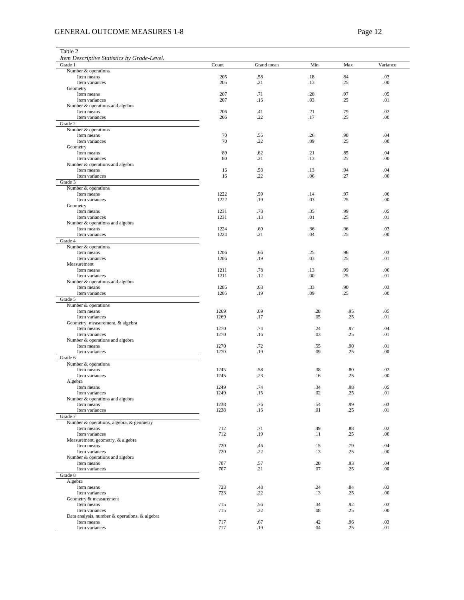# GENERAL OUTCOME MEASURES 1-8 Page 12

| Table 2                                           |              |            |            |            |            |
|---------------------------------------------------|--------------|------------|------------|------------|------------|
| Item Descriptive Statistics by Grade-Level.       |              |            |            |            |            |
| Grade 1<br>Number & operations                    | Count        | Grand mean | Min        | Max        | Variance   |
| Item means                                        | 205          | .58        | .18        | .84        | .03        |
| Item variances                                    | 205          | .21        | .13        | .25        | .00        |
| Geometry                                          |              |            |            |            |            |
| Item means                                        | 207          | .71        | .28        | .97        | .05        |
| Item variances                                    | 207          | .16        | .03        | .25        | .01        |
| Number & operations and algebra<br>Item means     | 206          | .41        | .21        | .79        | .02        |
| Item variances                                    | 206          | .22        | .17        | .25        | .00        |
| Grade 2                                           |              |            |            |            |            |
| Number & operations                               |              |            |            |            |            |
| Item means                                        | 70           | .55        | .26        | .90        | .04        |
| Item variances                                    | 70           | .22        | .09        | .25        | .00        |
| Geometry                                          |              |            |            |            |            |
| Item means                                        | 80           | .62        | .21        | .85        | .04        |
| Item variances                                    | 80           | .21        | .13        | .25        | .00        |
| Number & operations and algebra<br>Item means     | 16           | .53        | .13        | .94        | .04        |
| Item variances                                    | 16           | .22        | .06        | .27        | .00        |
| Grade 3                                           |              |            |            |            |            |
| Number & operations                               |              |            |            |            |            |
| Item means                                        | 1222         | .59        | .14        | .97        | .06        |
| Item variances                                    | 1222         | .19        | .03        | .25        | .00        |
| Geometry                                          |              |            |            |            |            |
| Item means                                        | 1231         | .78        | .35<br>.01 | .99        | .05        |
| Item variances                                    | 1231         | .13        |            | .25        | .01        |
| Number & operations and algebra<br>Item means     | 1224         | .60        | .36        | .96        | .03        |
| Item variances                                    | 1224         | .21        | .04        | .25        | .00        |
| Grade 4                                           |              |            |            |            |            |
| Number & operations                               |              |            |            |            |            |
| Item means                                        | 1206         | .66        | .25        | .96        | .03        |
| Item variances                                    | 1206         | .19        | .03        | .25        | .01        |
| Measurement                                       |              |            |            |            |            |
| Item means                                        | 1211         | .78        | .13        | .99        | .06        |
| Item variances                                    | 1211         | .12        | .00        | .25        | .01        |
| Number & operations and algebra<br>Item means     | 1205         | .68        | .33        | .90        | .03        |
| Item variances                                    | 1205         | .19        | .09        | .25        | .00        |
| Grade 5                                           |              |            |            |            |            |
| Number & operations                               |              |            |            |            |            |
| Item means                                        | 1269         | .69        | .28        | .95        | .05        |
| Item variances                                    | 1269         | .17        | .05        | .25        | .01        |
| Geometry, measurement, & algebra                  |              |            |            |            |            |
| Item means                                        | 1270         | .74        | .24        | .97        | .04        |
| Item variances<br>Number & operations and algebra | 1270         | .16        | .03        | .25        | .01        |
| Item means                                        | 1270         | .72        | .55        | .90        | .01        |
| Item variances                                    | 1270         | .19        | .09        | .25        | .00        |
| Grade 6                                           |              |            |            |            |            |
| Number & operations                               |              |            |            |            |            |
| Item means                                        | 1245         | .58        | .38        | .80        | .02        |
| Item variances                                    | 1245         | .23        | .16        | .25        | .00        |
| Algebra                                           |              |            |            |            |            |
| Item means<br>Item variances                      | 1249<br>1249 | .74<br>.15 | .34<br>.02 | .98<br>.25 | .05<br>.01 |
| Number & operations and algebra                   |              |            |            |            |            |
| Item means                                        | 1238         | .76        | .54        | .99        | .03        |
| Item variances                                    | 1238         | .16        | .01        | .25        | .01        |
| Grade 7                                           |              |            |            |            |            |
| Number & operations, algebra, & geometry          |              |            |            |            |            |
| Item means                                        | 712          | .71        | .49        | .88        | .02        |
| Item variances                                    | 712          | .19        | .11        | .25        | .00        |
| Measurement, geometry, & algebra                  |              |            |            |            |            |
| Item means<br>Item variances                      | 720<br>720   | .46<br>.22 | .15<br>.13 | .79<br>.25 | .04<br>.00 |
| Number & operations and algebra                   |              |            |            |            |            |
| Item means                                        | 707          | .57        | .20        | .93        | .04        |
| Item variances                                    | 707          | .21        | .07        | .25        | .00        |
| Grade 8                                           |              |            |            |            |            |
| Algebra                                           |              |            |            |            |            |
| Item means                                        | 723          | .48        | .24        | .84        | .03        |
| Item variances                                    | 723          | .22        | .13        | .25        | .00        |
| Geometry & measurement                            |              |            |            |            |            |
| Item means<br>Item variances                      | 715<br>715   | .56<br>.22 | .34<br>.08 | .92<br>.25 | .03<br>.00 |
| Data analysis, number & operations, & algebra     |              |            |            |            |            |
| Item means                                        | 717          | .67        | .42        | .96        | .03        |
| Item variances                                    | 717          | .19        | .04        | .25        | .01        |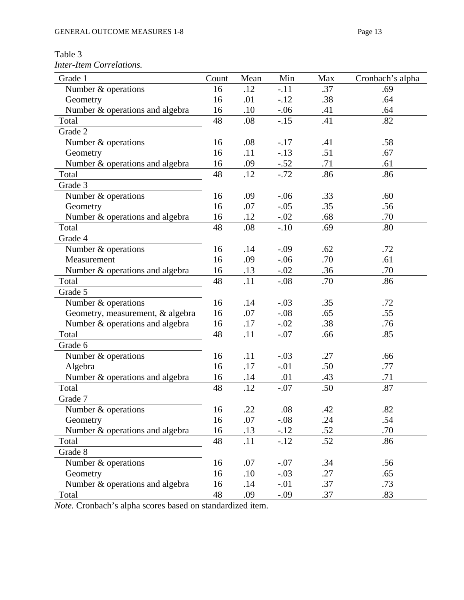Table 3 *Inter-Item Correlations.* 

| Grade 1                          | Count | Mean | Min    | Max | Cronbach's alpha |
|----------------------------------|-------|------|--------|-----|------------------|
| Number & operations              | 16    | .12  | $-.11$ | .37 | .69              |
| Geometry                         | 16    | .01  | $-12$  | .38 | .64              |
| Number & operations and algebra  | 16    | .10  | $-.06$ | .41 | .64              |
| Total                            | 48    | .08  | $-.15$ | .41 | .82              |
| Grade 2                          |       |      |        |     |                  |
| Number & operations              | 16    | .08  | $-.17$ | .41 | .58              |
| Geometry                         | 16    | .11  | $-.13$ | .51 | .67              |
| Number & operations and algebra  | 16    | .09  | $-.52$ | .71 | .61              |
| Total                            | 48    | .12  | $-.72$ | .86 | .86              |
| Grade 3                          |       |      |        |     |                  |
| Number & operations              | 16    | .09  | $-.06$ | .33 | .60              |
| Geometry                         | 16    | .07  | $-.05$ | .35 | .56              |
| Number & operations and algebra  | 16    | .12  | $-.02$ | .68 | .70              |
| Total                            | 48    | .08  | $-.10$ | .69 | .80              |
| Grade 4                          |       |      |        |     |                  |
| Number & operations              | 16    | .14  | $-.09$ | .62 | .72              |
| Measurement                      | 16    | .09  | $-.06$ | .70 | .61              |
| Number & operations and algebra  | 16    | .13  | $-.02$ | .36 | .70              |
| Total                            | 48    | .11  | $-.08$ | .70 | .86              |
| Grade 5                          |       |      |        |     |                  |
| Number & operations              | 16    | .14  | $-.03$ | .35 | .72              |
| Geometry, measurement, & algebra | 16    | .07  | $-.08$ | .65 | .55              |
| Number & operations and algebra  | 16    | .17  | $-.02$ | .38 | .76              |
| Total                            | 48    | .11  | $-.07$ | .66 | .85              |
| Grade 6                          |       |      |        |     |                  |
| Number & operations              | 16    | .11  | $-.03$ | .27 | .66              |
| Algebra                          | 16    | .17  | $-.01$ | .50 | .77              |
| Number & operations and algebra  | 16    | .14  | .01    | .43 | .71              |
| Total                            | 48    | .12  | $-.07$ | .50 | .87              |
| Grade 7                          |       |      |        |     |                  |
| Number & operations              | 16    | 22   | .08    | .42 | .82              |
| Geometry                         | 16    | .07  | $-.08$ | .24 | .54              |
| Number & operations and algebra  | 16    | .13  | $-.12$ | .52 | .70              |
| Total                            | 48    | .11  | $-.12$ | .52 | .86              |
| Grade 8                          |       |      |        |     |                  |
| Number & operations              | 16    | .07  | $-.07$ | .34 | .56              |
| Geometry                         | 16    | .10  | $-.03$ | .27 | .65              |
| Number & operations and algebra  | 16    | .14  | $-.01$ | .37 | .73              |
| Total                            | 48    | .09  | $-.09$ | .37 | .83              |

*Note.* Cronbach's alpha scores based on standardized item.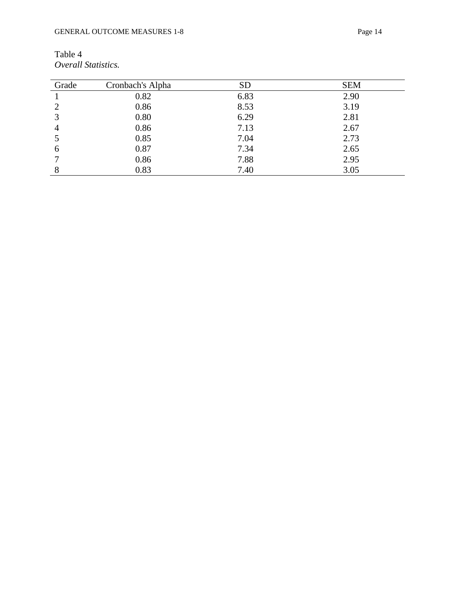| Table 4             |
|---------------------|
| Overall Statistics. |

| Grade | Cronbach's Alpha | <b>SD</b> | <b>SEM</b> |
|-------|------------------|-----------|------------|
|       | 0.82             | 6.83      | 2.90       |
|       | 0.86             | 8.53      | 3.19       |
| 3     | 0.80             | 6.29      | 2.81       |
| 4     | 0.86             | 7.13      | 2.67       |
|       | 0.85             | 7.04      | 2.73       |
| 6     | 0.87             | 7.34      | 2.65       |
|       | 0.86             | 7.88      | 2.95       |
| 8     | 0.83             | 7.40      | 3.05       |